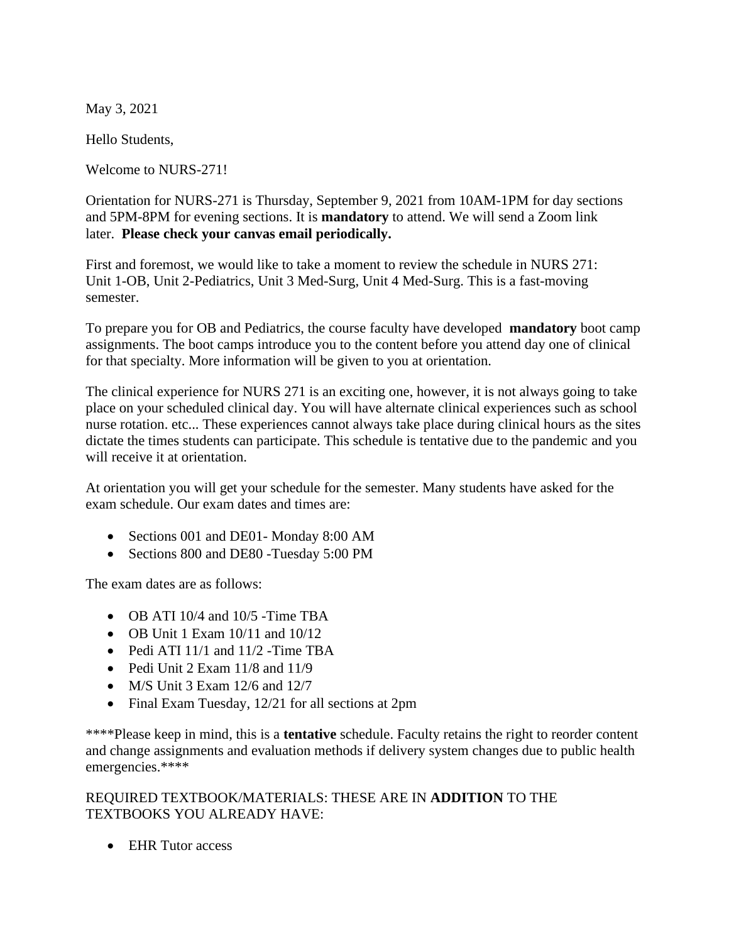May 3, 2021

Hello Students,

Welcome to NURS-271!

Orientation for NURS-271 is Thursday, September 9, 2021 from 10AM-1PM for day sections and 5PM-8PM for evening sections. It is **mandatory** to attend. We will send a Zoom link later. **Please check your canvas email periodically.** 

First and foremost, we would like to take a moment to review the schedule in NURS 271: Unit 1-OB, Unit 2-Pediatrics, Unit 3 Med-Surg, Unit 4 Med-Surg. This is a fast-moving semester.

To prepare you for OB and Pediatrics, the course faculty have developed **mandatory** boot camp assignments. The boot camps introduce you to the content before you attend day one of clinical for that specialty. More information will be given to you at orientation.

The clinical experience for NURS 271 is an exciting one, however, it is not always going to take place on your scheduled clinical day. You will have alternate clinical experiences such as school nurse rotation. etc... These experiences cannot always take place during clinical hours as the sites dictate the times students can participate. This schedule is tentative due to the pandemic and you will receive it at orientation.

At orientation you will get your schedule for the semester. Many students have asked for the exam schedule. Our exam dates and times are:

- Sections 001 and DE01- Monday 8:00 AM
- Sections 800 and DE80 -Tuesday 5:00 PM

The exam dates are as follows:

- OB ATI 10/4 and 10/5 -Time TBA
- OB Unit 1 Exam 10/11 and 10/12
- Pedi ATI 11/1 and 11/2 Time TBA
- Pedi Unit 2 Exam 11/8 and 11/9
- M/S Unit 3 Exam  $12/6$  and  $12/7$
- Final Exam Tuesday, 12/21 for all sections at 2pm

\*\*\*\*Please keep in mind, this is a **tentative** schedule. Faculty retains the right to reorder content and change assignments and evaluation methods if delivery system changes due to public health emergencies.\*\*\*\*

## REQUIRED TEXTBOOK/MATERIALS: THESE ARE IN **ADDITION** TO THE TEXTBOOKS YOU ALREADY HAVE:

• EHR Tutor access